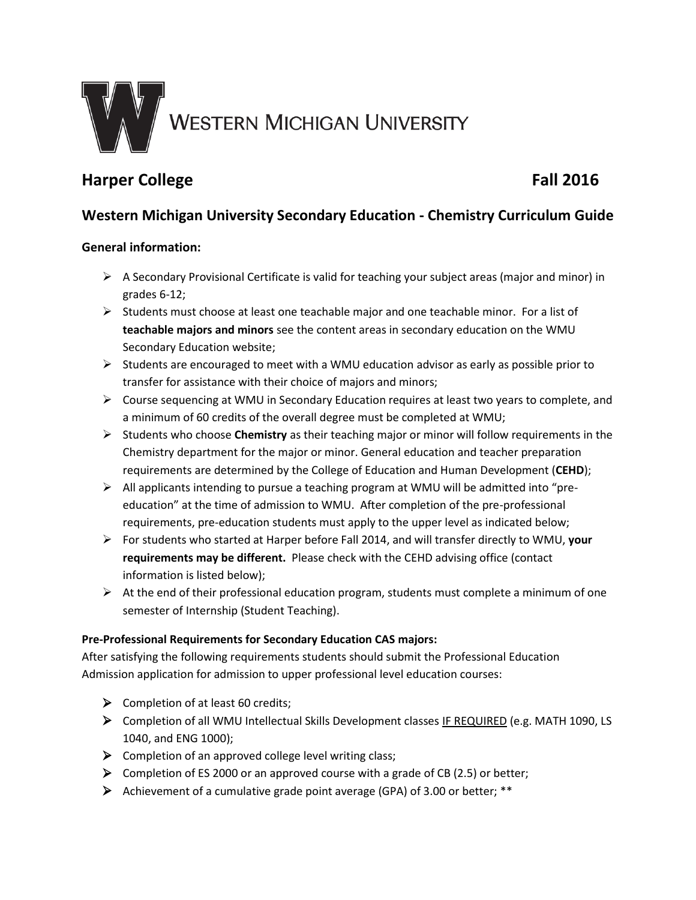

# **Harper College Fall 2016**

## **Western Michigan University Secondary Education - Chemistry Curriculum Guide**

### **General information:**

- $\triangleright$  A Secondary Provisional Certificate is valid for teaching your subject areas (major and minor) in grades 6-12;
- $\triangleright$  Students must choose at least one teachable major and one teachable minor. For a list of **teachable majors and minors** see the content areas in secondary education on the WMU Secondary Education website;
- $\triangleright$  Students are encouraged to meet with a WMU education advisor as early as possible prior to transfer for assistance with their choice of majors and minors;
- Course sequencing at WMU in Secondary Education requires at least two years to complete, and a minimum of 60 credits of the overall degree must be completed at WMU;
- Students who choose **Chemistry** as their teaching major or minor will follow requirements in the Chemistry department for the major or minor. General education and teacher preparation requirements are determined by the College of Education and Human Development (**CEHD**);
- All applicants intending to pursue a teaching program at WMU will be admitted into "preeducation" at the time of admission to WMU. After completion of the pre-professional requirements, pre-education students must apply to the upper level as indicated below;
- For students who started at Harper before Fall 2014, and will transfer directly to WMU, **your requirements may be different.** Please check with the CEHD advising office (contact information is listed below);
- $\triangleright$  At the end of their professional education program, students must complete a minimum of one semester of Internship (Student Teaching).

#### **Pre-Professional Requirements for Secondary Education CAS majors:**

After satisfying the following requirements students should submit the Professional Education Admission application for admission to upper professional level education courses:

- $\triangleright$  Completion of at least 60 credits;
- Completion of all WMU Intellectual Skills Development classes IF REQUIRED (e.g. MATH 1090, LS 1040, and ENG 1000);
- $\triangleright$  Completion of an approved college level writing class;
- $\triangleright$  Completion of ES 2000 or an approved course with a grade of CB (2.5) or better;
- Achievement of a cumulative grade point average (GPA) of 3.00 or better; \*\*